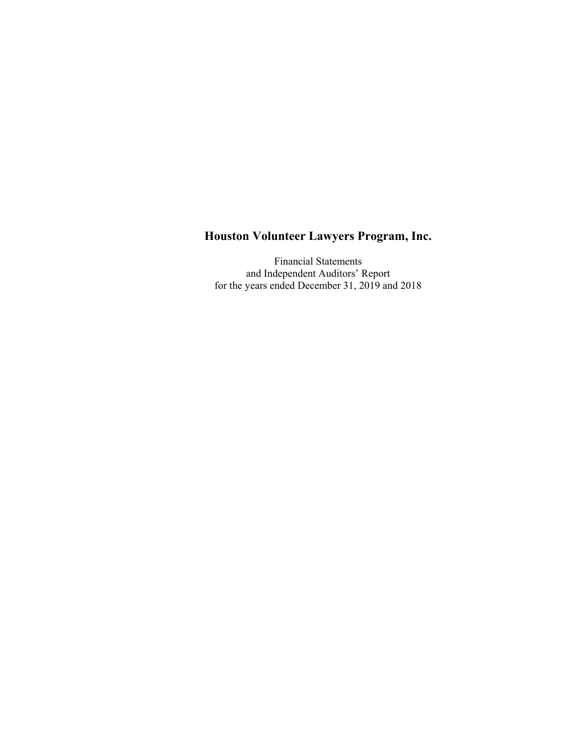Financial Statements and Independent Auditors' Report for the years ended December 31, 2019 and 2018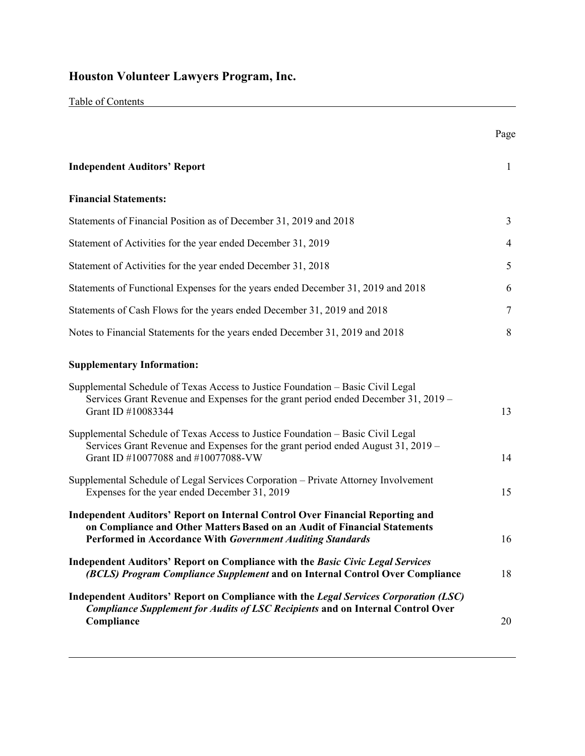Table of Contents

|                                                                                                                                                                                                                                 | Page |
|---------------------------------------------------------------------------------------------------------------------------------------------------------------------------------------------------------------------------------|------|
| <b>Independent Auditors' Report</b>                                                                                                                                                                                             | 1    |
| <b>Financial Statements:</b>                                                                                                                                                                                                    |      |
| Statements of Financial Position as of December 31, 2019 and 2018                                                                                                                                                               | 3    |
| Statement of Activities for the year ended December 31, 2019                                                                                                                                                                    | 4    |
| Statement of Activities for the year ended December 31, 2018                                                                                                                                                                    | 5    |
| Statements of Functional Expenses for the years ended December 31, 2019 and 2018                                                                                                                                                | 6    |
| Statements of Cash Flows for the years ended December 31, 2019 and 2018                                                                                                                                                         | 7    |
| Notes to Financial Statements for the years ended December 31, 2019 and 2018                                                                                                                                                    | 8    |
| <b>Supplementary Information:</b>                                                                                                                                                                                               |      |
| Supplemental Schedule of Texas Access to Justice Foundation – Basic Civil Legal<br>Services Grant Revenue and Expenses for the grant period ended December 31, 2019 –<br>Grant ID #10083344                                     | 13   |
| Supplemental Schedule of Texas Access to Justice Foundation – Basic Civil Legal<br>Services Grant Revenue and Expenses for the grant period ended August 31, 2019 –<br>Grant ID #10077088 and #10077088-VW                      | 14   |
| Supplemental Schedule of Legal Services Corporation – Private Attorney Involvement<br>Expenses for the year ended December 31, 2019                                                                                             | 15   |
| <b>Independent Auditors' Report on Internal Control Over Financial Reporting and</b><br>on Compliance and Other Matters Based on an Audit of Financial Statements<br>Performed in Accordance With Government Auditing Standards | 16   |
| Independent Auditors' Report on Compliance with the Basic Civic Legal Services<br>(BCLS) Program Compliance Supplement and on Internal Control Over Compliance                                                                  | 18   |
| Independent Auditors' Report on Compliance with the Legal Services Corporation (LSC)<br>Compliance Supplement for Audits of LSC Recipients and on Internal Control Over<br>Compliance                                           | 20   |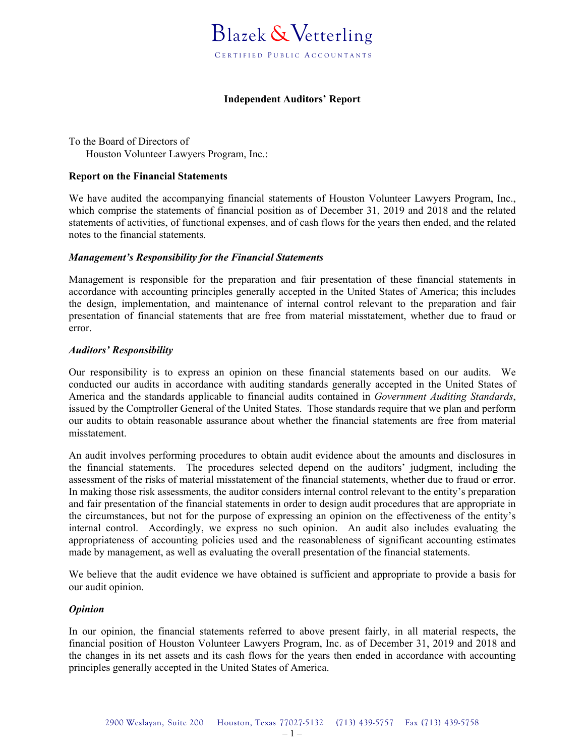### **Independent Auditors' Report**

To the Board of Directors of Houston Volunteer Lawyers Program, Inc.:

#### **Report on the Financial Statements**

We have audited the accompanying financial statements of Houston Volunteer Lawyers Program, Inc., which comprise the statements of financial position as of December 31, 2019 and 2018 and the related statements of activities, of functional expenses, and of cash flows for the years then ended, and the related notes to the financial statements.

#### *Management's Responsibility for the Financial Statements*

Management is responsible for the preparation and fair presentation of these financial statements in accordance with accounting principles generally accepted in the United States of America; this includes the design, implementation, and maintenance of internal control relevant to the preparation and fair presentation of financial statements that are free from material misstatement, whether due to fraud or error.

#### *Auditors' Responsibility*

Our responsibility is to express an opinion on these financial statements based on our audits. We conducted our audits in accordance with auditing standards generally accepted in the United States of America and the standards applicable to financial audits contained in *Government Auditing Standards*, issued by the Comptroller General of the United States. Those standards require that we plan and perform our audits to obtain reasonable assurance about whether the financial statements are free from material misstatement.

An audit involves performing procedures to obtain audit evidence about the amounts and disclosures in the financial statements. The procedures selected depend on the auditors' judgment, including the assessment of the risks of material misstatement of the financial statements, whether due to fraud or error. In making those risk assessments, the auditor considers internal control relevant to the entity's preparation and fair presentation of the financial statements in order to design audit procedures that are appropriate in the circumstances, but not for the purpose of expressing an opinion on the effectiveness of the entity's internal control. Accordingly, we express no such opinion. An audit also includes evaluating the appropriateness of accounting policies used and the reasonableness of significant accounting estimates made by management, as well as evaluating the overall presentation of the financial statements.

We believe that the audit evidence we have obtained is sufficient and appropriate to provide a basis for our audit opinion.

#### *Opinion*

In our opinion, the financial statements referred to above present fairly, in all material respects, the financial position of Houston Volunteer Lawyers Program, Inc. as of December 31, 2019 and 2018 and the changes in its net assets and its cash flows for the years then ended in accordance with accounting principles generally accepted in the United States of America.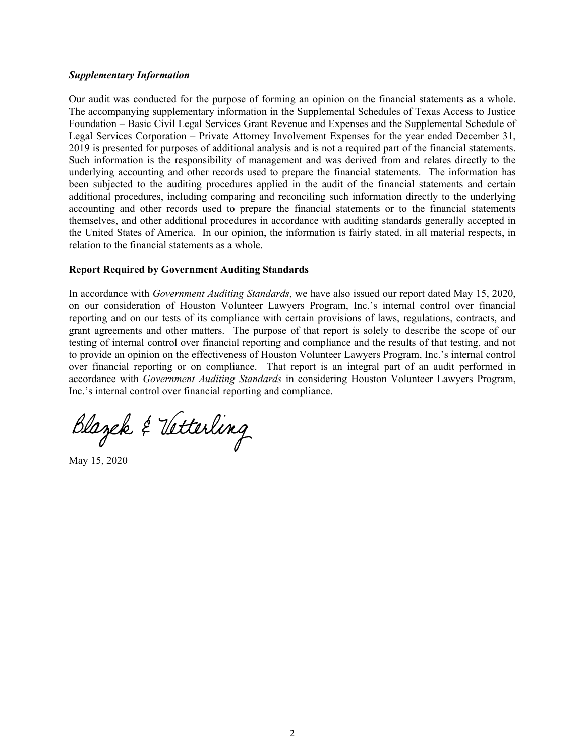#### *Supplementary Information*

Our audit was conducted for the purpose of forming an opinion on the financial statements as a whole. The accompanying supplementary information in the Supplemental Schedules of Texas Access to Justice Foundation – Basic Civil Legal Services Grant Revenue and Expenses and the Supplemental Schedule of Legal Services Corporation – Private Attorney Involvement Expenses for the year ended December 31, 2019 is presented for purposes of additional analysis and is not a required part of the financial statements. Such information is the responsibility of management and was derived from and relates directly to the underlying accounting and other records used to prepare the financial statements. The information has been subjected to the auditing procedures applied in the audit of the financial statements and certain additional procedures, including comparing and reconciling such information directly to the underlying accounting and other records used to prepare the financial statements or to the financial statements themselves, and other additional procedures in accordance with auditing standards generally accepted in the United States of America. In our opinion, the information is fairly stated, in all material respects, in relation to the financial statements as a whole.

#### **Report Required by Government Auditing Standards**

In accordance with *Government Auditing Standards*, we have also issued our report dated May 15, 2020, on our consideration of Houston Volunteer Lawyers Program, Inc.'s internal control over financial reporting and on our tests of its compliance with certain provisions of laws, regulations, contracts, and grant agreements and other matters. The purpose of that report is solely to describe the scope of our testing of internal control over financial reporting and compliance and the results of that testing, and not to provide an opinion on the effectiveness of Houston Volunteer Lawyers Program, Inc.'s internal control over financial reporting or on compliance. That report is an integral part of an audit performed in accordance with *Government Auditing Standards* in considering Houston Volunteer Lawyers Program, Inc.'s internal control over financial reporting and compliance.

Blazek & Vetterling

May 15, 2020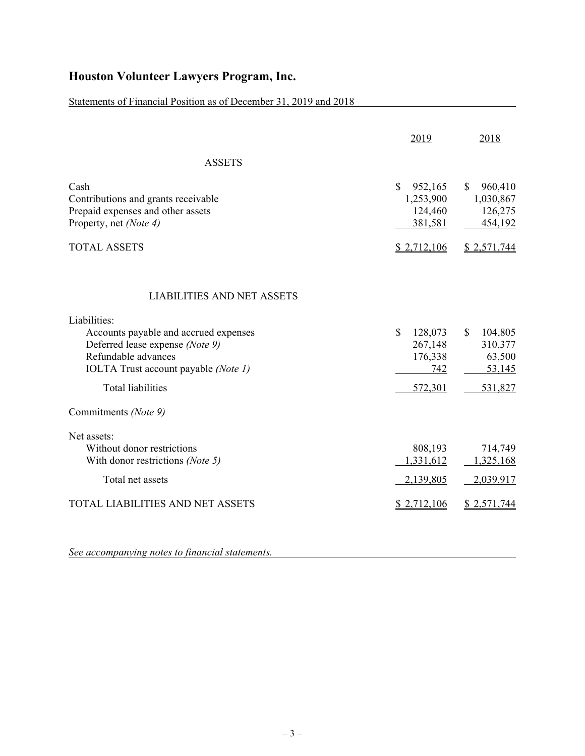Statements of Financial Position as of December 31, 2019 and 2018

|                                                                                                                                                         | 2019                                                      | 2018                                                   |
|---------------------------------------------------------------------------------------------------------------------------------------------------------|-----------------------------------------------------------|--------------------------------------------------------|
| <b>ASSETS</b>                                                                                                                                           |                                                           |                                                        |
| Cash<br>Contributions and grants receivable<br>Prepaid expenses and other assets<br>Property, net (Note 4)                                              | $\mathbf S$<br>952,165<br>1,253,900<br>124,460<br>381,581 | \$<br>960,410<br>1,030,867<br>126,275<br>454,192       |
| <b>TOTAL ASSETS</b>                                                                                                                                     | \$2,712,106                                               | \$ 2,571,744                                           |
| <b>LIABILITIES AND NET ASSETS</b>                                                                                                                       |                                                           |                                                        |
| Liabilities:<br>Accounts payable and accrued expenses<br>Deferred lease expense (Note 9)<br>Refundable advances<br>IOLTA Trust account payable (Note 1) | \$<br>128,073<br>267,148<br>176,338<br>742                | $\mathbb{S}$<br>104,805<br>310,377<br>63,500<br>53,145 |
| <b>Total liabilities</b>                                                                                                                                | 572,301                                                   | 531,827                                                |
| Commitments (Note 9)                                                                                                                                    |                                                           |                                                        |
| Net assets:<br>Without donor restrictions<br>With donor restrictions (Note 5)<br>Total net assets                                                       | 808,193<br>1,331,612<br>2,139,805                         | 714,749<br>1,325,168<br>2,039,917                      |
| <b>TOTAL LIABILITIES AND NET ASSETS</b>                                                                                                                 | <u>\$2,712,106</u>                                        | <u>\$2,571,744</u>                                     |
|                                                                                                                                                         |                                                           |                                                        |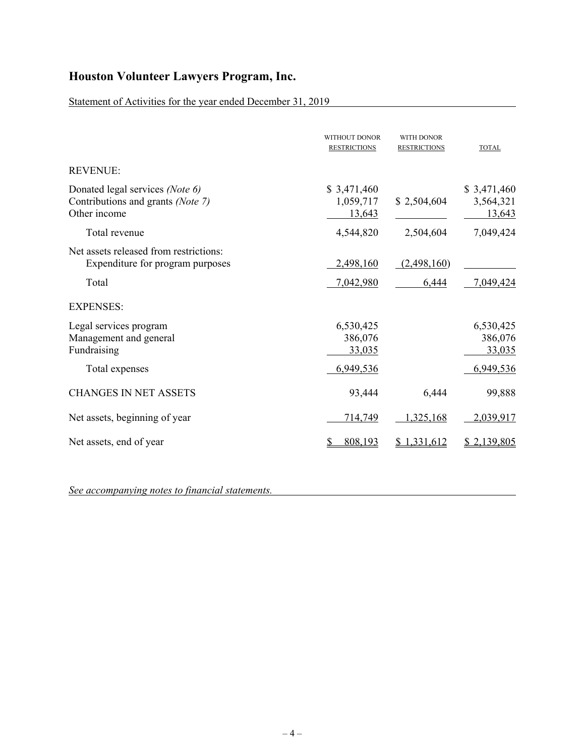# Statement of Activities for the year ended December 31, 2019

|                                                                                      | <b>WITHOUT DONOR</b><br><b>RESTRICTIONS</b> | <b>WITH DONOR</b><br><b>RESTRICTIONS</b> | <b>TOTAL</b>                                |
|--------------------------------------------------------------------------------------|---------------------------------------------|------------------------------------------|---------------------------------------------|
| <b>REVENUE:</b>                                                                      |                                             |                                          |                                             |
| Donated legal services (Note 6)<br>Contributions and grants (Note 7)<br>Other income | \$3,471,460<br>1,059,717<br>13,643          | \$2,504,604                              | \$3,471,460<br>3,564,321<br>13,643          |
| Total revenue                                                                        | 4,544,820                                   | 2,504,604                                | 7,049,424                                   |
| Net assets released from restrictions:<br>Expenditure for program purposes<br>Total  | 2,498,160<br>7,042,980                      | (2,498,160)<br>6,444                     | 7,049,424                                   |
| <b>EXPENSES:</b>                                                                     |                                             |                                          |                                             |
| Legal services program<br>Management and general<br>Fundraising<br>Total expenses    | 6,530,425<br>386,076<br>33,035<br>6,949,536 |                                          | 6,530,425<br>386,076<br>33,035<br>6,949,536 |
| <b>CHANGES IN NET ASSETS</b>                                                         | 93,444                                      | 6,444                                    | 99,888                                      |
| Net assets, beginning of year                                                        | 714,749                                     | 1,325,168                                | 2,039,917                                   |
| Net assets, end of year                                                              | 808,193                                     | \$1,331,612                              | \$2,139,805                                 |
|                                                                                      |                                             |                                          |                                             |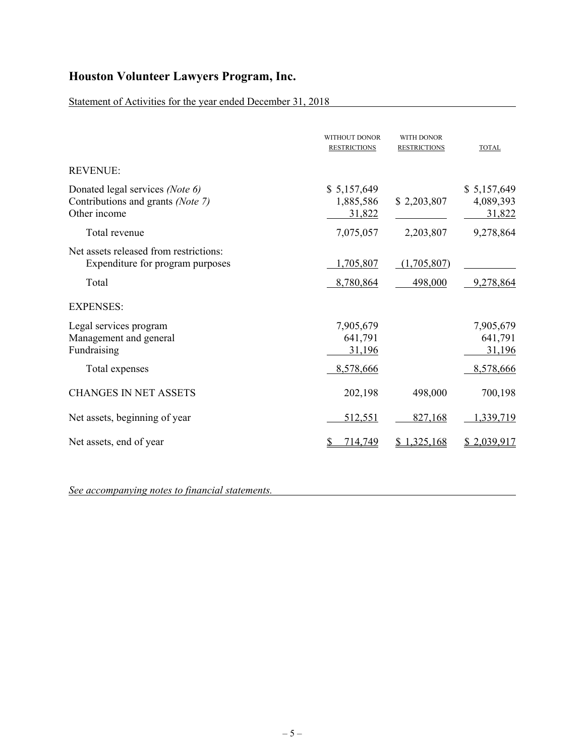# Statement of Activities for the year ended December 31, 2018

|                                                                                      | <b>WITHOUT DONOR</b><br><b>RESTRICTIONS</b> | <b>WITH DONOR</b><br><b>RESTRICTIONS</b> | <b>TOTAL</b>                                |
|--------------------------------------------------------------------------------------|---------------------------------------------|------------------------------------------|---------------------------------------------|
| <b>REVENUE:</b>                                                                      |                                             |                                          |                                             |
| Donated legal services (Note 6)<br>Contributions and grants (Note 7)<br>Other income | \$5,157,649<br>1,885,586<br>31,822          | \$2,203,807                              | \$5,157,649<br>4,089,393<br>31,822          |
| Total revenue                                                                        | 7,075,057                                   | 2,203,807                                | 9,278,864                                   |
| Net assets released from restrictions:<br>Expenditure for program purposes<br>Total  | 1,705,807<br>8,780,864                      | (1,705,807)<br>498,000                   | 9,278,864                                   |
| <b>EXPENSES:</b>                                                                     |                                             |                                          |                                             |
| Legal services program<br>Management and general<br>Fundraising<br>Total expenses    | 7,905,679<br>641,791<br>31,196<br>8,578,666 |                                          | 7,905,679<br>641,791<br>31,196<br>8,578,666 |
| <b>CHANGES IN NET ASSETS</b>                                                         | 202,198                                     | 498,000                                  | 700,198                                     |
| Net assets, beginning of year                                                        | 512,551                                     | 827,168                                  | 1,339,719                                   |
| Net assets, end of year                                                              | 714.749                                     | 1,325,168                                | \$2,039,917                                 |
|                                                                                      |                                             |                                          |                                             |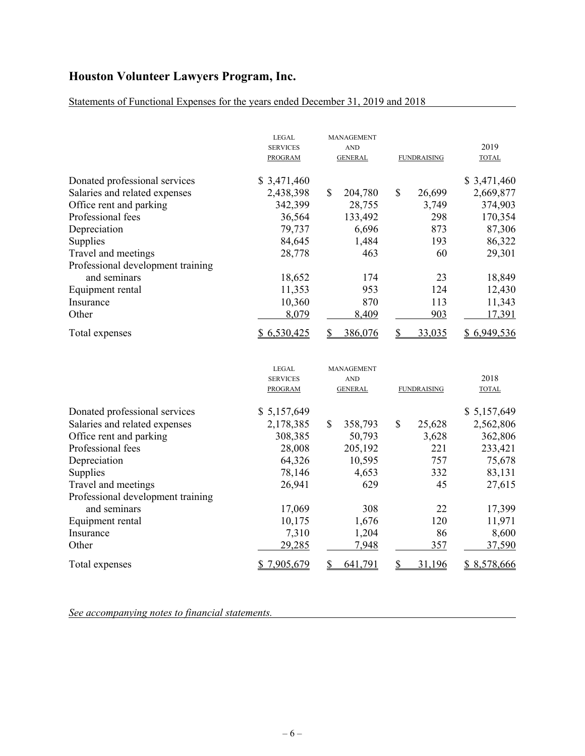Statements of Functional Expenses for the years ended December 31, 2019 and 2018

|                                   | <b>LEGAL</b><br><b>SERVICES</b><br><b>PROGRAM</b> | <b>MANAGEMENT</b><br><b>AND</b><br><b>GENERAL</b> | <b>FUNDRAISING</b> | 2019<br><b>TOTAL</b> |
|-----------------------------------|---------------------------------------------------|---------------------------------------------------|--------------------|----------------------|
| Donated professional services     | \$3,471,460                                       |                                                   |                    | \$3,471,460          |
| Salaries and related expenses     | 2,438,398                                         | S<br>204,780                                      | \$<br>26,699       | 2,669,877            |
| Office rent and parking           | 342,399                                           | 28,755                                            | 3,749              | 374,903              |
| Professional fees                 | 36,564                                            | 133,492                                           | 298                | 170,354              |
| Depreciation                      | 79,737                                            | 6,696                                             | 873                | 87,306               |
| Supplies                          | 84,645                                            | 1,484                                             | 193                | 86,322               |
| Travel and meetings               | 28,778                                            | 463                                               | 60                 | 29,301               |
| Professional development training |                                                   |                                                   |                    |                      |
| and seminars                      | 18,652                                            | 174                                               | 23                 | 18,849               |
| Equipment rental                  | 11,353                                            | 953                                               | 124                | 12,430               |
| Insurance                         | 10,360                                            | 870                                               | 113                | 11,343               |
| Other                             | 8,079                                             | 8,409                                             | 903                | 17,391               |
| Total expenses                    | \$6,530,425                                       | 386,076                                           | 33,035             | \$6,949,536          |

|                                   | <b>LEGAL</b>    | <b>MANAGEMENT</b> |                    |              |
|-----------------------------------|-----------------|-------------------|--------------------|--------------|
|                                   | <b>SERVICES</b> | <b>AND</b>        |                    | 2018         |
|                                   | <b>PROGRAM</b>  | <b>GENERAL</b>    | <b>FUNDRAISING</b> | <b>TOTAL</b> |
| Donated professional services     | \$5,157,649     |                   |                    | \$5,157,649  |
| Salaries and related expenses     | 2,178,385       | S<br>358,793      | \$<br>25,628       | 2,562,806    |
| Office rent and parking           | 308,385         | 50,793            | 3,628              | 362,806      |
| Professional fees                 | 28,008          | 205,192           | 221                | 233,421      |
| Depreciation                      | 64,326          | 10,595            | 757                | 75,678       |
| Supplies                          | 78,146          | 4,653             | 332                | 83,131       |
| Travel and meetings               | 26,941          | 629               | 45                 | 27,615       |
| Professional development training |                 |                   |                    |              |
| and seminars                      | 17,069          | 308               | 22                 | 17,399       |
| Equipment rental                  | 10,175          | 1,676             | 120                | 11,971       |
| Insurance                         | 7,310           | 1,204             | 86                 | 8,600        |
| Other                             | 29,285          | 7,948             | 357                | 37,590       |
| Total expenses                    | 7,905,679       | 641,791           | 31,196             | \$8,578,666  |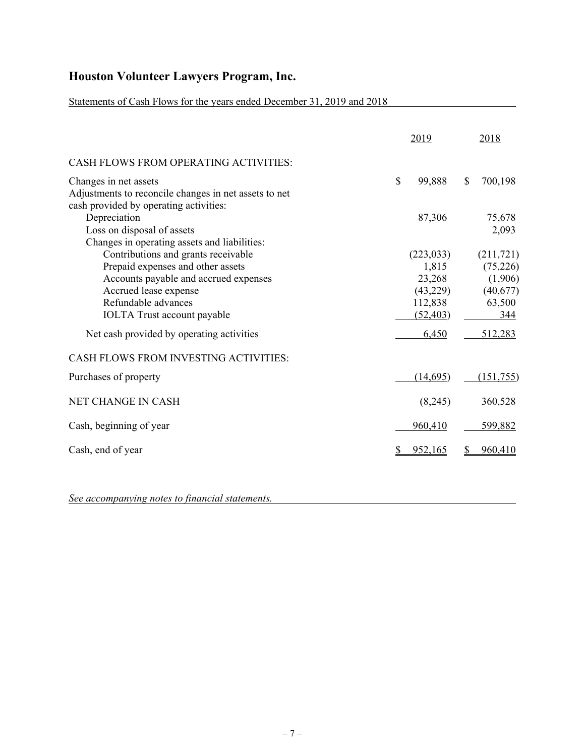Statements of Cash Flows for the years ended December 31, 2019 and 2018

|                                                                                                                          | 2019         | 2018            |
|--------------------------------------------------------------------------------------------------------------------------|--------------|-----------------|
| CASH FLOWS FROM OPERATING ACTIVITIES:                                                                                    |              |                 |
| Changes in net assets<br>Adjustments to reconcile changes in net assets to net<br>cash provided by operating activities: | \$<br>99,888 | \$<br>700,198   |
| Depreciation<br>Loss on disposal of assets<br>Changes in operating assets and liabilities:                               | 87,306       | 75,678<br>2,093 |
| Contributions and grants receivable                                                                                      | (223, 033)   | (211, 721)      |
| Prepaid expenses and other assets                                                                                        | 1,815        | (75, 226)       |
| Accounts payable and accrued expenses                                                                                    | 23,268       | (1,906)         |
| Accrued lease expense                                                                                                    | (43,229)     | (40,677)        |
| Refundable advances                                                                                                      | 112,838      | 63,500          |
| <b>IOLTA</b> Trust account payable                                                                                       | (52, 403)    | 344             |
| Net cash provided by operating activities                                                                                | 6,450        | 512,283         |
| <b>CASH FLOWS FROM INVESTING ACTIVITIES:</b>                                                                             |              |                 |
| Purchases of property                                                                                                    | (14,695)     | (151, 755)      |
| <b>NET CHANGE IN CASH</b>                                                                                                | (8,245)      | 360,528         |
| Cash, beginning of year                                                                                                  | 960,410      | 599,882         |
| Cash, end of year                                                                                                        | 952,165      | 960,410         |
|                                                                                                                          |              |                 |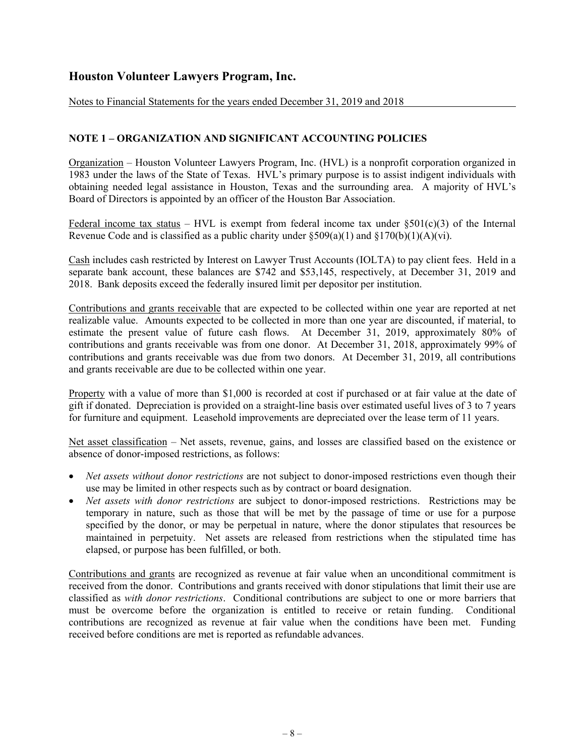Notes to Financial Statements for the years ended December 31, 2019 and 2018

## **NOTE 1 – ORGANIZATION AND SIGNIFICANT ACCOUNTING POLICIES**

Organization – Houston Volunteer Lawyers Program, Inc. (HVL) is a nonprofit corporation organized in 1983 under the laws of the State of Texas. HVL's primary purpose is to assist indigent individuals with obtaining needed legal assistance in Houston, Texas and the surrounding area. A majority of HVL's Board of Directors is appointed by an officer of the Houston Bar Association.

Federal income tax status – HVL is exempt from federal income tax under  $\S501(c)(3)$  of the Internal Revenue Code and is classified as a public charity under  $\S 509(a)(1)$  and  $\S 170(b)(1)(A)(vi)$ .

Cash includes cash restricted by Interest on Lawyer Trust Accounts (IOLTA) to pay client fees. Held in a separate bank account, these balances are \$742 and \$53,145, respectively, at December 31, 2019 and 2018. Bank deposits exceed the federally insured limit per depositor per institution.

Contributions and grants receivable that are expected to be collected within one year are reported at net realizable value. Amounts expected to be collected in more than one year are discounted, if material, to estimate the present value of future cash flows. At December 31, 2019, approximately 80% of contributions and grants receivable was from one donor. At December 31, 2018, approximately 99% of contributions and grants receivable was due from two donors. At December 31, 2019, all contributions and grants receivable are due to be collected within one year.

Property with a value of more than \$1,000 is recorded at cost if purchased or at fair value at the date of gift if donated. Depreciation is provided on a straight-line basis over estimated useful lives of 3 to 7 years for furniture and equipment. Leasehold improvements are depreciated over the lease term of 11 years.

Net asset classification – Net assets, revenue, gains, and losses are classified based on the existence or absence of donor-imposed restrictions, as follows:

- *Net assets without donor restrictions* are not subject to donor-imposed restrictions even though their use may be limited in other respects such as by contract or board designation.
- *Net assets with donor restrictions* are subject to donor-imposed restrictions. Restrictions may be temporary in nature, such as those that will be met by the passage of time or use for a purpose specified by the donor, or may be perpetual in nature, where the donor stipulates that resources be maintained in perpetuity. Net assets are released from restrictions when the stipulated time has elapsed, or purpose has been fulfilled, or both.

Contributions and grants are recognized as revenue at fair value when an unconditional commitment is received from the donor. Contributions and grants received with donor stipulations that limit their use are classified as *with donor restrictions*. Conditional contributions are subject to one or more barriers that must be overcome before the organization is entitled to receive or retain funding. Conditional contributions are recognized as revenue at fair value when the conditions have been met. Funding received before conditions are met is reported as refundable advances.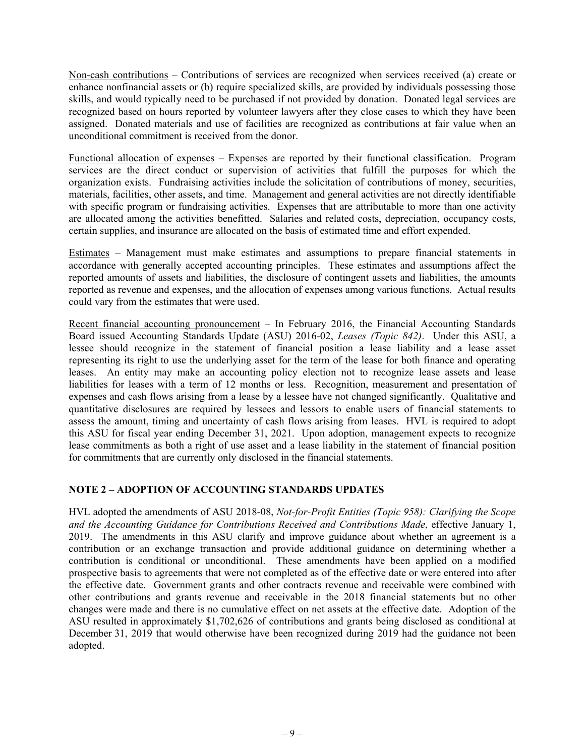Non-cash contributions – Contributions of services are recognized when services received (a) create or enhance nonfinancial assets or (b) require specialized skills, are provided by individuals possessing those skills, and would typically need to be purchased if not provided by donation. Donated legal services are recognized based on hours reported by volunteer lawyers after they close cases to which they have been assigned. Donated materials and use of facilities are recognized as contributions at fair value when an unconditional commitment is received from the donor.

Functional allocation of expenses – Expenses are reported by their functional classification. Program services are the direct conduct or supervision of activities that fulfill the purposes for which the organization exists. Fundraising activities include the solicitation of contributions of money, securities, materials, facilities, other assets, and time. Management and general activities are not directly identifiable with specific program or fundraising activities. Expenses that are attributable to more than one activity are allocated among the activities benefitted. Salaries and related costs, depreciation, occupancy costs, certain supplies, and insurance are allocated on the basis of estimated time and effort expended.

Estimates – Management must make estimates and assumptions to prepare financial statements in accordance with generally accepted accounting principles. These estimates and assumptions affect the reported amounts of assets and liabilities, the disclosure of contingent assets and liabilities, the amounts reported as revenue and expenses, and the allocation of expenses among various functions. Actual results could vary from the estimates that were used.

Recent financial accounting pronouncement – In February 2016, the Financial Accounting Standards Board issued Accounting Standards Update (ASU) 2016-02, *Leases (Topic 842)*. Under this ASU, a lessee should recognize in the statement of financial position a lease liability and a lease asset representing its right to use the underlying asset for the term of the lease for both finance and operating leases. An entity may make an accounting policy election not to recognize lease assets and lease liabilities for leases with a term of 12 months or less. Recognition, measurement and presentation of expenses and cash flows arising from a lease by a lessee have not changed significantly. Qualitative and quantitative disclosures are required by lessees and lessors to enable users of financial statements to assess the amount, timing and uncertainty of cash flows arising from leases. HVL is required to adopt this ASU for fiscal year ending December 31, 2021. Upon adoption, management expects to recognize lease commitments as both a right of use asset and a lease liability in the statement of financial position for commitments that are currently only disclosed in the financial statements.

## **NOTE 2 – ADOPTION OF ACCOUNTING STANDARDS UPDATES**

HVL adopted the amendments of ASU 2018-08, *Not-for-Profit Entities (Topic 958): Clarifying the Scope and the Accounting Guidance for Contributions Received and Contributions Made*, effective January 1, 2019. The amendments in this ASU clarify and improve guidance about whether an agreement is a contribution or an exchange transaction and provide additional guidance on determining whether a contribution is conditional or unconditional. These amendments have been applied on a modified prospective basis to agreements that were not completed as of the effective date or were entered into after the effective date. Government grants and other contracts revenue and receivable were combined with other contributions and grants revenue and receivable in the 2018 financial statements but no other changes were made and there is no cumulative effect on net assets at the effective date. Adoption of the ASU resulted in approximately \$1,702,626 of contributions and grants being disclosed as conditional at December 31, 2019 that would otherwise have been recognized during 2019 had the guidance not been adopted.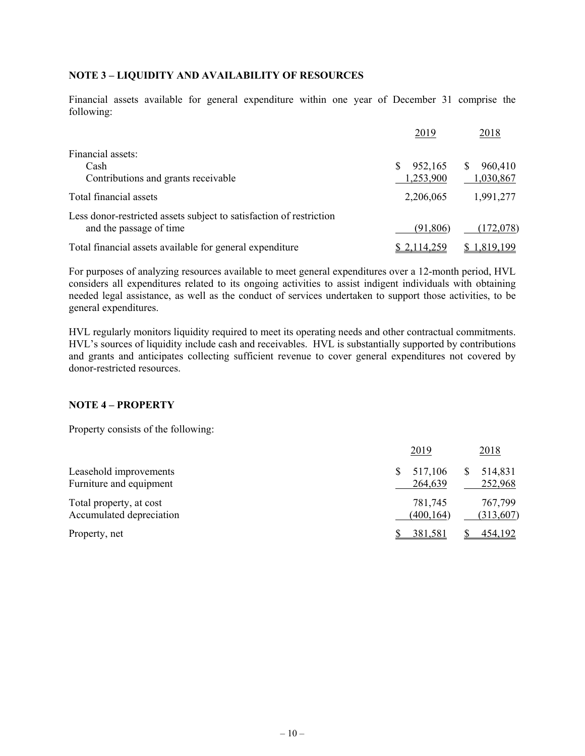### **NOTE 3 – LIQUIDITY AND AVAILABILITY OF RESOURCES**

Financial assets available for general expenditure within one year of December 31 comprise the following:

|                                                                                                | 2019         | 2018            |
|------------------------------------------------------------------------------------------------|--------------|-----------------|
| Financial assets:<br>Cash                                                                      | S<br>952,165 | 960,410<br>S.   |
| Contributions and grants receivable                                                            | 1,253,900    | 1,030,867       |
| Total financial assets                                                                         | 2,206,065    | 1,991,277       |
| Less donor-restricted assets subject to satisfaction of restriction<br>and the passage of time | (91,806)     | (172,078)       |
| Total financial assets available for general expenditure                                       | 2.114.259    | <u>819,199,</u> |

For purposes of analyzing resources available to meet general expenditures over a 12-month period, HVL considers all expenditures related to its ongoing activities to assist indigent individuals with obtaining needed legal assistance, as well as the conduct of services undertaken to support those activities, to be general expenditures.

HVL regularly monitors liquidity required to meet its operating needs and other contractual commitments. HVL's sources of liquidity include cash and receivables. HVL is substantially supported by contributions and grants and anticipates collecting sufficient revenue to cover general expenditures not covered by donor-restricted resources.

## **NOTE 4 – PROPERTY**

Property consists of the following:

|                                                     | 2019                    | 2018                     |
|-----------------------------------------------------|-------------------------|--------------------------|
| Leasehold improvements<br>Furniture and equipment   | 517,106<br>S<br>264,639 | 514,831<br>S.<br>252,968 |
| Total property, at cost<br>Accumulated depreciation | 781,745<br>(400, 164)   | 767,799<br>(313,607)     |
| Property, net                                       | <u>381,581</u>          | 454,192                  |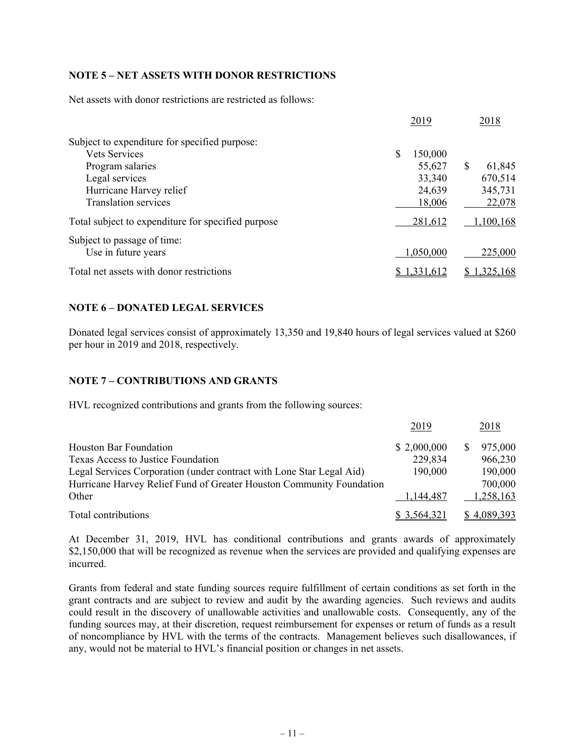### **NOTE 5 – NET ASSETS WITH DONOR RESTRICTIONS**

Net assets with donor restrictions are restricted as follows:

|                                                    | 2019          | 2018         |
|----------------------------------------------------|---------------|--------------|
| Subject to expenditure for specified purpose:      |               |              |
| <b>Vets Services</b>                               | \$<br>150,000 |              |
| Program salaries                                   | 55,627        | \$<br>61,845 |
| Legal services                                     | 33,340        | 670,514      |
| Hurricane Harvey relief                            | 24,639        | 345,731      |
| <b>Translation services</b>                        | 18,006        | 22,078       |
| Total subject to expenditure for specified purpose | 281,612       | 1,100,168    |
| Subject to passage of time:                        |               |              |
| Use in future years                                | 1,050,000     | 225,000      |
| Total net assets with donor restrictions           | .331.612      | 1,325,168    |

## **NOTE 6 – DONATED LEGAL SERVICES**

Donated legal services consist of approximately 13,350 and 19,840 hours of legal services valued at \$260 per hour in 2019 and 2018, respectively.

## **NOTE 7 – CONTRIBUTIONS AND GRANTS**

HVL recognized contributions and grants from the following sources:

|                                                                      | 2019         |    | 2018        |
|----------------------------------------------------------------------|--------------|----|-------------|
| <b>Houston Bar Foundation</b>                                        | \$2,000,000  | S. | 975,000     |
| Texas Access to Justice Foundation                                   | 229,834      |    | 966,230     |
| Legal Services Corporation (under contract with Lone Star Legal Aid) | 190,000      |    | 190,000     |
| Hurricane Harvey Relief Fund of Greater Houston Community Foundation |              |    | 700,000     |
| Other                                                                | 1,144,487    |    | 1,258,163   |
| Total contributions                                                  | \$ 3,564,321 |    | \$4,089,393 |

At December 31, 2019, HVL has conditional contributions and grants awards of approximately \$2,150,000 that will be recognized as revenue when the services are provided and qualifying expenses are incurred.

Grants from federal and state funding sources require fulfillment of certain conditions as set forth in the grant contracts and are subject to review and audit by the awarding agencies. Such reviews and audits could result in the discovery of unallowable activities and unallowable costs. Consequently, any of the funding sources may, at their discretion, request reimbursement for expenses or return of funds as a result of noncompliance by HVL with the terms of the contracts. Management believes such disallowances, if any, would not be material to HVL's financial position or changes in net assets.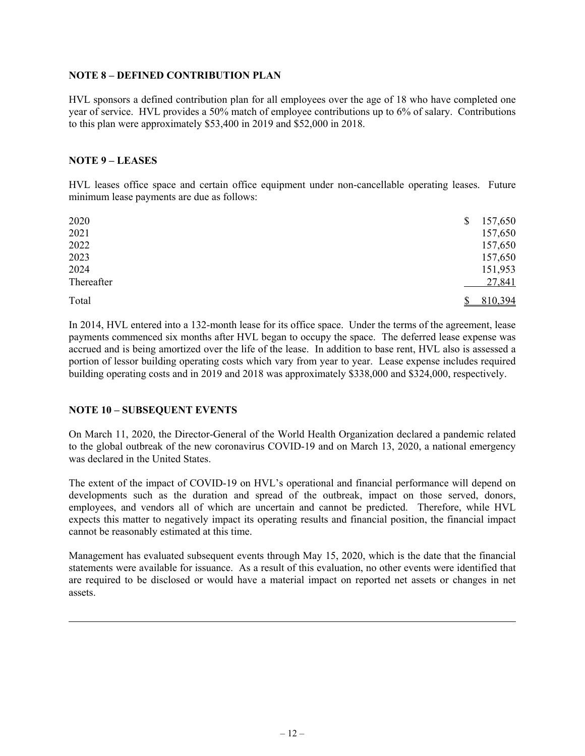## **NOTE 8 – DEFINED CONTRIBUTION PLAN**

HVL sponsors a defined contribution plan for all employees over the age of 18 who have completed one year of service. HVL provides a 50% match of employee contributions up to 6% of salary. Contributions to this plan were approximately \$53,400 in 2019 and \$52,000 in 2018.

#### **NOTE 9 – LEASES**

HVL leases office space and certain office equipment under non-cancellable operating leases. Future minimum lease payments are due as follows:

| 2020       | \$<br>157,650 |
|------------|---------------|
| 2021       | 157,650       |
| 2022       | 157,650       |
| 2023       | 157,650       |
| 2024       | 151,953       |
| Thereafter | 27,841        |
| Total      | 810,394       |

In 2014, HVL entered into a 132-month lease for its office space. Under the terms of the agreement, lease payments commenced six months after HVL began to occupy the space. The deferred lease expense was accrued and is being amortized over the life of the lease. In addition to base rent, HVL also is assessed a portion of lessor building operating costs which vary from year to year. Lease expense includes required building operating costs and in 2019 and 2018 was approximately \$338,000 and \$324,000, respectively.

### **NOTE 10 – SUBSEQUENT EVENTS**

On March 11, 2020, the Director-General of the World Health Organization declared a pandemic related to the global outbreak of the new coronavirus COVID-19 and on March 13, 2020, a national emergency was declared in the United States.

The extent of the impact of COVID-19 on HVL's operational and financial performance will depend on developments such as the duration and spread of the outbreak, impact on those served, donors, employees, and vendors all of which are uncertain and cannot be predicted. Therefore, while HVL expects this matter to negatively impact its operating results and financial position, the financial impact cannot be reasonably estimated at this time.

Management has evaluated subsequent events through May 15, 2020, which is the date that the financial statements were available for issuance. As a result of this evaluation, no other events were identified that are required to be disclosed or would have a material impact on reported net assets or changes in net assets.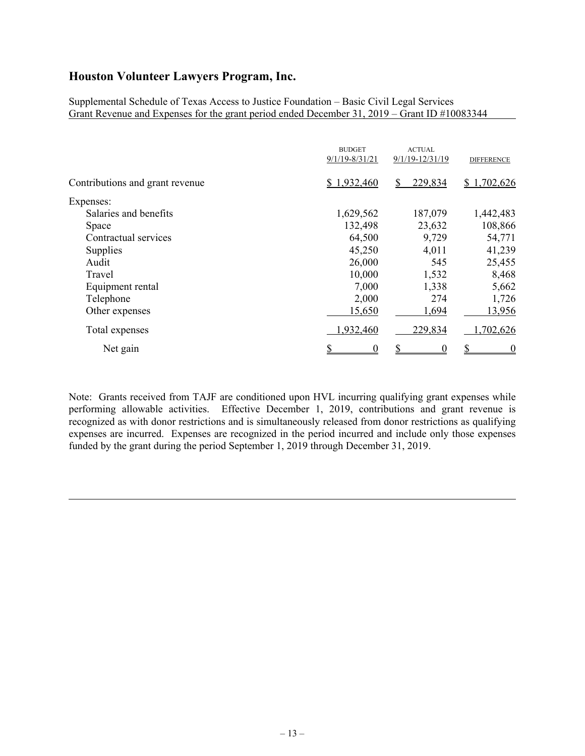Supplemental Schedule of Texas Access to Justice Foundation – Basic Civil Legal Services Grant Revenue and Expenses for the grant period ended December 31, 2019 – Grant ID #10083344

|                                 | <b>BUDGET</b><br>$9/1/19 - 8/31/21$ | <b>ACTUAL</b><br>9/1/19-12/31/19 | <b>DIFFERENCE</b> |
|---------------------------------|-------------------------------------|----------------------------------|-------------------|
| Contributions and grant revenue | \$1,932,460                         | \$<br>229,834                    | \$1,702,626       |
| Expenses:                       |                                     |                                  |                   |
| Salaries and benefits           | 1,629,562                           | 187,079                          | 1,442,483         |
| Space                           | 132,498                             | 23,632                           | 108,866           |
| Contractual services            | 64,500                              | 9,729                            | 54,771            |
| Supplies                        | 45,250                              | 4,011                            | 41,239            |
| Audit                           | 26,000                              | 545                              | 25,455            |
| Travel                          | 10,000                              | 1,532                            | 8,468             |
| Equipment rental                | 7,000                               | 1,338                            | 5,662             |
| Telephone                       | 2,000                               | 274                              | 1,726             |
| Other expenses                  | 15,650                              | 1,694                            | 13,956            |
| Total expenses                  | 1,932,460                           | 229,834                          | 1,702,626         |
| Net gain                        |                                     |                                  |                   |

Note: Grants received from TAJF are conditioned upon HVL incurring qualifying grant expenses while performing allowable activities. Effective December 1, 2019, contributions and grant revenue is recognized as with donor restrictions and is simultaneously released from donor restrictions as qualifying expenses are incurred. Expenses are recognized in the period incurred and include only those expenses funded by the grant during the period September 1, 2019 through December 31, 2019.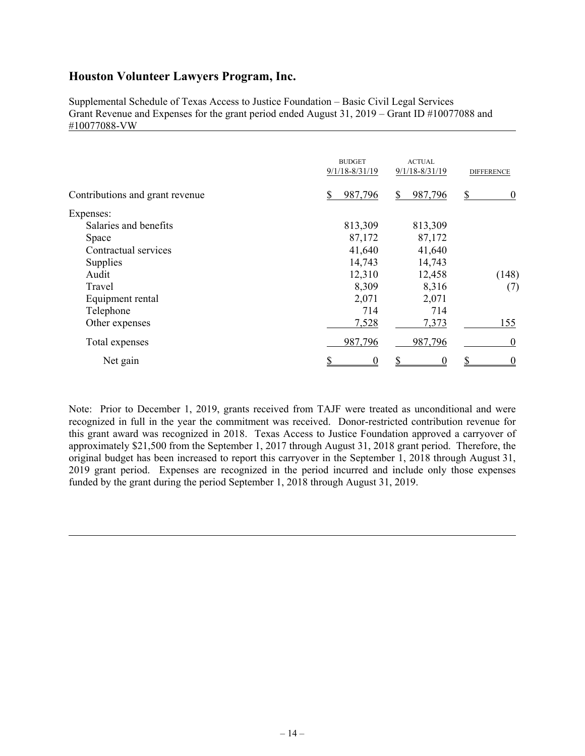Supplemental Schedule of Texas Access to Justice Foundation – Basic Civil Legal Services Grant Revenue and Expenses for the grant period ended August 31, 2019 – Grant ID #10077088 and #10077088-VW

|                                 | <b>BUDGET</b><br>$9/1/18 - 8/31/19$ | <b>ACTUAL</b><br>$9/1/18 - 8/31/19$ | <b>DIFFERENCE</b> |
|---------------------------------|-------------------------------------|-------------------------------------|-------------------|
| Contributions and grant revenue | 987,796                             | \$<br>987,796                       | \$<br>$\theta$    |
| Expenses:                       |                                     |                                     |                   |
| Salaries and benefits           | 813,309                             | 813,309                             |                   |
| Space                           | 87,172                              | 87,172                              |                   |
| Contractual services            | 41,640                              | 41,640                              |                   |
| Supplies                        | 14,743                              | 14,743                              |                   |
| Audit                           | 12,310                              | 12,458                              | (148)             |
| Travel                          | 8,309                               | 8,316                               | (7)               |
| Equipment rental                | 2,071                               | 2,071                               |                   |
| Telephone                       | 714                                 | 714                                 |                   |
| Other expenses                  | 7,528                               | 7,373                               | 155               |
| Total expenses                  | 987,796                             | 987,796                             | $\theta$          |
| Net gain                        |                                     |                                     |                   |
|                                 |                                     |                                     |                   |

Note: Prior to December 1, 2019, grants received from TAJF were treated as unconditional and were recognized in full in the year the commitment was received. Donor-restricted contribution revenue for this grant award was recognized in 2018. Texas Access to Justice Foundation approved a carryover of approximately \$21,500 from the September 1, 2017 through August 31, 2018 grant period. Therefore, the original budget has been increased to report this carryover in the September 1, 2018 through August 31, 2019 grant period. Expenses are recognized in the period incurred and include only those expenses funded by the grant during the period September 1, 2018 through August 31, 2019.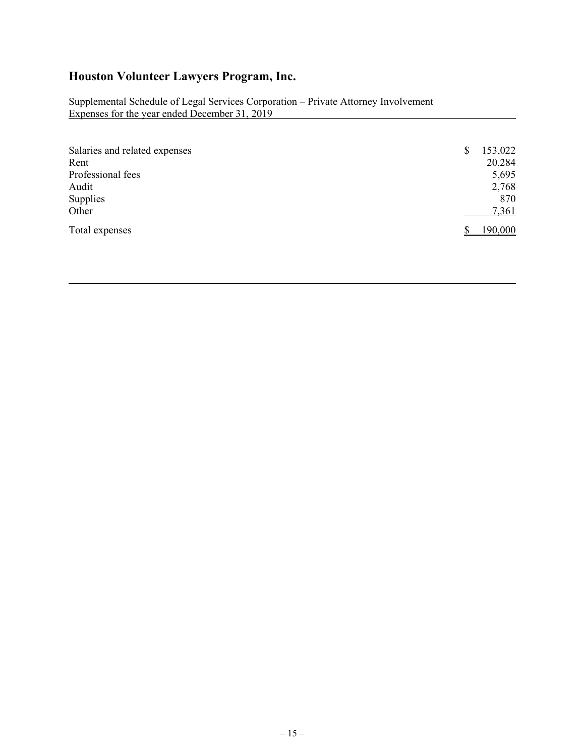Supplemental Schedule of Legal Services Corporation – Private Attorney Involvement Expenses for the year ended December 31, 2019

| Salaries and related expenses<br>Rent<br>Professional fees<br>Audit<br>Supplies<br>Other | \$<br>153,022<br>20,284<br>5,695<br>2,768<br>870<br>7,361 |
|------------------------------------------------------------------------------------------|-----------------------------------------------------------|
| Total expenses                                                                           | 190,000                                                   |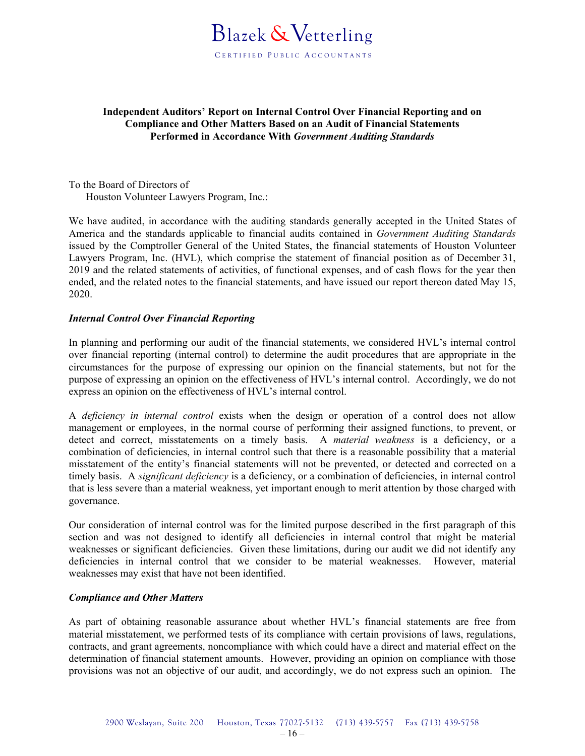

### **Independent Auditors' Report on Internal Control Over Financial Reporting and on Compliance and Other Matters Based on an Audit of Financial Statements Performed in Accordance With** *Government Auditing Standards*

To the Board of Directors of Houston Volunteer Lawyers Program, Inc.:

We have audited, in accordance with the auditing standards generally accepted in the United States of America and the standards applicable to financial audits contained in *Government Auditing Standards* issued by the Comptroller General of the United States, the financial statements of Houston Volunteer Lawyers Program, Inc. (HVL), which comprise the statement of financial position as of December 31, 2019 and the related statements of activities, of functional expenses, and of cash flows for the year then ended, and the related notes to the financial statements, and have issued our report thereon dated May 15, 2020.

#### *Internal Control Over Financial Reporting*

In planning and performing our audit of the financial statements, we considered HVL's internal control over financial reporting (internal control) to determine the audit procedures that are appropriate in the circumstances for the purpose of expressing our opinion on the financial statements, but not for the purpose of expressing an opinion on the effectiveness of HVL's internal control. Accordingly, we do not express an opinion on the effectiveness of HVL's internal control.

A *deficiency in internal control* exists when the design or operation of a control does not allow management or employees, in the normal course of performing their assigned functions, to prevent, or detect and correct, misstatements on a timely basis. A *material weakness* is a deficiency, or a combination of deficiencies, in internal control such that there is a reasonable possibility that a material misstatement of the entity's financial statements will not be prevented, or detected and corrected on a timely basis. A *significant deficiency* is a deficiency, or a combination of deficiencies, in internal control that is less severe than a material weakness, yet important enough to merit attention by those charged with governance.

Our consideration of internal control was for the limited purpose described in the first paragraph of this section and was not designed to identify all deficiencies in internal control that might be material weaknesses or significant deficiencies. Given these limitations, during our audit we did not identify any deficiencies in internal control that we consider to be material weaknesses. However, material weaknesses may exist that have not been identified.

#### *Compliance and Other Matters*

As part of obtaining reasonable assurance about whether HVL's financial statements are free from material misstatement, we performed tests of its compliance with certain provisions of laws, regulations, contracts, and grant agreements, noncompliance with which could have a direct and material effect on the determination of financial statement amounts. However, providing an opinion on compliance with those provisions was not an objective of our audit, and accordingly, we do not express such an opinion. The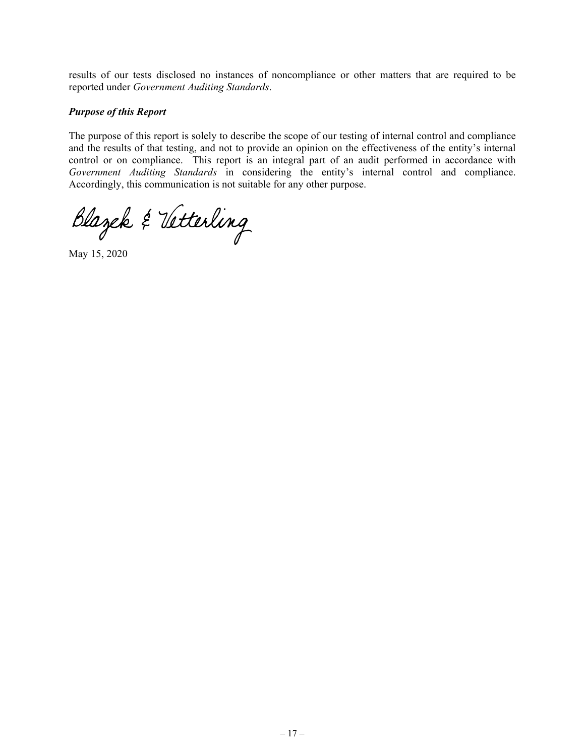results of our tests disclosed no instances of noncompliance or other matters that are required to be reported under *Government Auditing Standards*.

#### *Purpose of this Report*

The purpose of this report is solely to describe the scope of our testing of internal control and compliance and the results of that testing, and not to provide an opinion on the effectiveness of the entity's internal control or on compliance. This report is an integral part of an audit performed in accordance with *Government Auditing Standards* in considering the entity's internal control and compliance. Accordingly, this communication is not suitable for any other purpose.

Blazek & Vetterling

May 15, 2020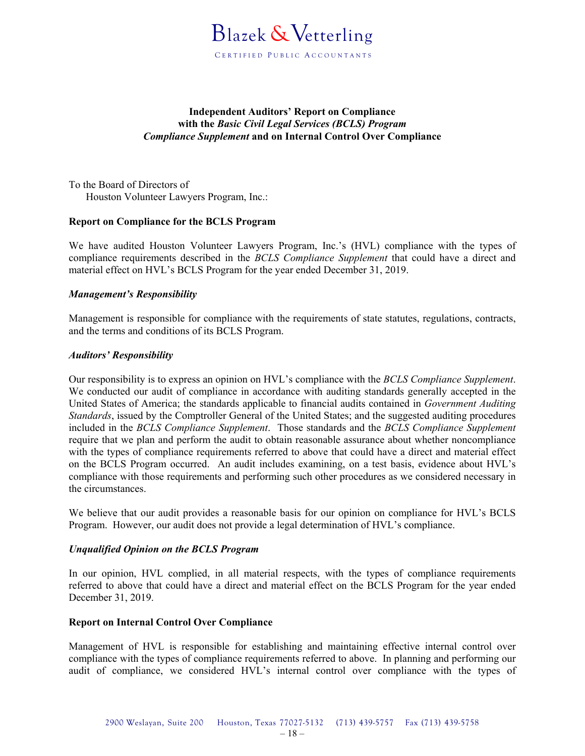

## **Independent Auditors' Report on Compliance with the** *Basic Civil Legal Services (BCLS) Program Compliance Supplement* **and on Internal Control Over Compliance**

To the Board of Directors of Houston Volunteer Lawyers Program, Inc.:

#### **Report on Compliance for the BCLS Program**

We have audited Houston Volunteer Lawyers Program, Inc.'s (HVL) compliance with the types of compliance requirements described in the *BCLS Compliance Supplement* that could have a direct and material effect on HVL's BCLS Program for the year ended December 31, 2019.

#### *Management's Responsibility*

Management is responsible for compliance with the requirements of state statutes, regulations, contracts, and the terms and conditions of its BCLS Program.

#### *Auditors' Responsibility*

Our responsibility is to express an opinion on HVL's compliance with the *BCLS Compliance Supplement*. We conducted our audit of compliance in accordance with auditing standards generally accepted in the United States of America; the standards applicable to financial audits contained in *Government Auditing Standards*, issued by the Comptroller General of the United States; and the suggested auditing procedures included in the *BCLS Compliance Supplement*. Those standards and the *BCLS Compliance Supplement* require that we plan and perform the audit to obtain reasonable assurance about whether noncompliance with the types of compliance requirements referred to above that could have a direct and material effect on the BCLS Program occurred. An audit includes examining, on a test basis, evidence about HVL's compliance with those requirements and performing such other procedures as we considered necessary in the circumstances.

We believe that our audit provides a reasonable basis for our opinion on compliance for HVL's BCLS Program. However, our audit does not provide a legal determination of HVL's compliance.

#### *Unqualified Opinion on the BCLS Program*

In our opinion, HVL complied, in all material respects, with the types of compliance requirements referred to above that could have a direct and material effect on the BCLS Program for the year ended December 31, 2019.

#### **Report on Internal Control Over Compliance**

Management of HVL is responsible for establishing and maintaining effective internal control over compliance with the types of compliance requirements referred to above. In planning and performing our audit of compliance, we considered HVL's internal control over compliance with the types of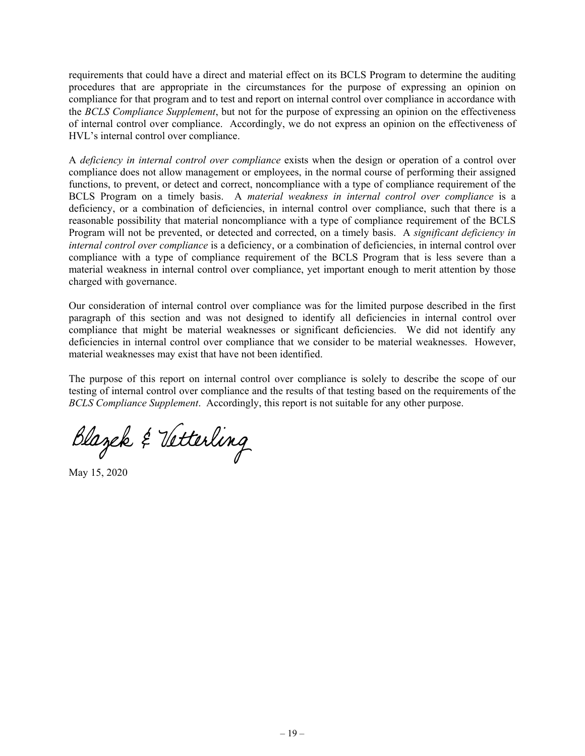requirements that could have a direct and material effect on its BCLS Program to determine the auditing procedures that are appropriate in the circumstances for the purpose of expressing an opinion on compliance for that program and to test and report on internal control over compliance in accordance with the *BCLS Compliance Supplement*, but not for the purpose of expressing an opinion on the effectiveness of internal control over compliance. Accordingly, we do not express an opinion on the effectiveness of HVL's internal control over compliance.

A *deficiency in internal control over compliance* exists when the design or operation of a control over compliance does not allow management or employees, in the normal course of performing their assigned functions, to prevent, or detect and correct, noncompliance with a type of compliance requirement of the BCLS Program on a timely basis. A *material weakness in internal control over compliance* is a deficiency, or a combination of deficiencies, in internal control over compliance, such that there is a reasonable possibility that material noncompliance with a type of compliance requirement of the BCLS Program will not be prevented, or detected and corrected, on a timely basis. A *significant deficiency in internal control over compliance* is a deficiency, or a combination of deficiencies, in internal control over compliance with a type of compliance requirement of the BCLS Program that is less severe than a material weakness in internal control over compliance, yet important enough to merit attention by those charged with governance.

Our consideration of internal control over compliance was for the limited purpose described in the first paragraph of this section and was not designed to identify all deficiencies in internal control over compliance that might be material weaknesses or significant deficiencies. We did not identify any deficiencies in internal control over compliance that we consider to be material weaknesses. However, material weaknesses may exist that have not been identified.

The purpose of this report on internal control over compliance is solely to describe the scope of our testing of internal control over compliance and the results of that testing based on the requirements of the *BCLS Compliance Supplement*. Accordingly, this report is not suitable for any other purpose.

Blazek & Vetterling

May 15, 2020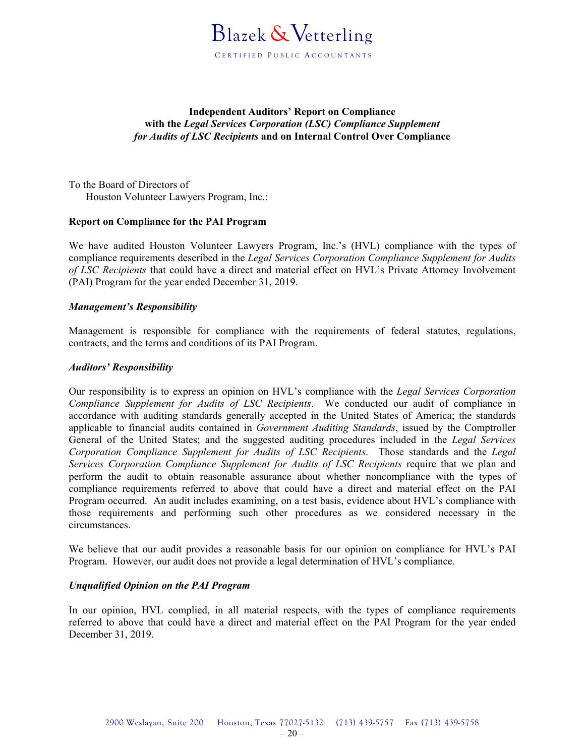

### **Independent Auditors' Report on Compliance with the** *Legal Services Corporation (LSC) Compliance Supplement for Audits of LSC Recipients* **and on Internal Control Over Compliance**

To the Board of Directors of Houston Volunteer Lawyers Program, Inc.:

#### **Report on Compliance for the PAI Program**

We have audited Houston Volunteer Lawyers Program, Inc.'s (HVL) compliance with the types of compliance requirements described in the *Legal Services Corporation Compliance Supplement for Audits of LSC Recipients* that could have a direct and material effect on HVL's Private Attorney Involvement (PAI) Program for the year ended December 31, 2019.

#### *Management's Responsibility*

Management is responsible for compliance with the requirements of federal statutes, regulations, contracts, and the terms and conditions of its PAI Program.

#### *Auditors' Responsibility*

Our responsibility is to express an opinion on HVL's compliance with the *Legal Services Corporation Compliance Supplement for Audits of LSC Recipients*. We conducted our audit of compliance in accordance with auditing standards generally accepted in the United States of America; the standards applicable to financial audits contained in *Government Auditing Standards*, issued by the Comptroller General of the United States; and the suggested auditing procedures included in the *Legal Services Corporation Compliance Supplement for Audits of LSC Recipients*. Those standards and the *Legal Services Corporation Compliance Supplement for Audits of LSC Recipients* require that we plan and perform the audit to obtain reasonable assurance about whether noncompliance with the types of compliance requirements referred to above that could have a direct and material effect on the PAI Program occurred. An audit includes examining, on a test basis, evidence about HVL's compliance with those requirements and performing such other procedures as we considered necessary in the circumstances.

We believe that our audit provides a reasonable basis for our opinion on compliance for HVL's PAI Program. However, our audit does not provide a legal determination of HVL's compliance.

#### *Unqualified Opinion on the PAI Program*

In our opinion, HVL complied, in all material respects, with the types of compliance requirements referred to above that could have a direct and material effect on the PAI Program for the year ended December 31, 2019.